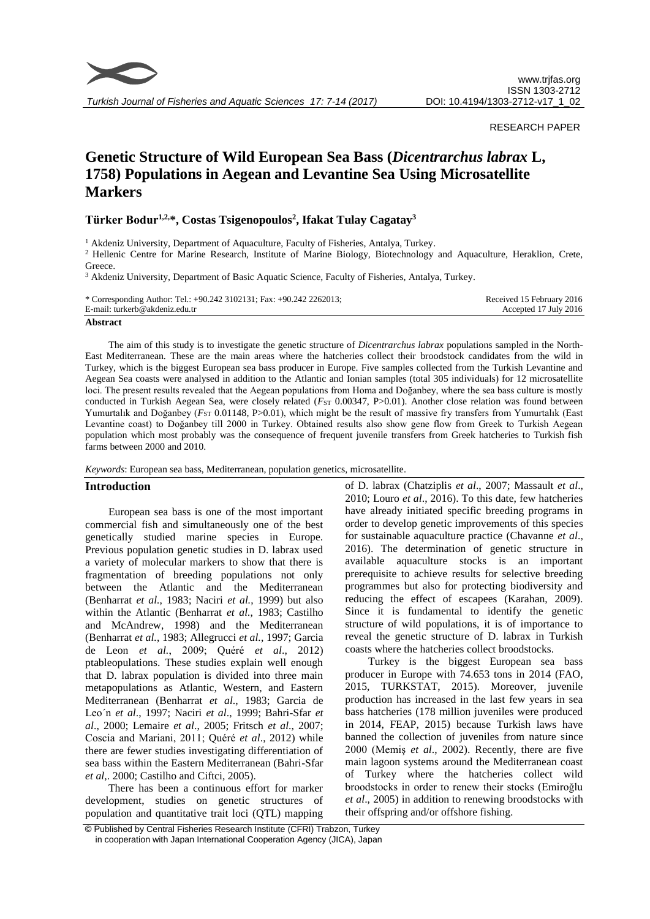

*Turkish Journal of Fisheries and Aquatic Sciences 17: 7-14 (2017)*

## RESEARCH PAPER

# **Genetic Structure of Wild European Sea Bass (***Dicentrarchus labrax* **L, 1758) Populations in Aegean and Levantine Sea Using Microsatellite Markers**

# **Türker Bodur1,2,\*, Costas Tsigenopoulos<sup>2</sup> , Ifakat Tulay Cagatay<sup>3</sup>**

<sup>1</sup> Akdeniz University, Department of Aquaculture, Faculty of Fisheries, Antalya, Turkey.

<sup>2</sup> Hellenic Centre for Marine Research, Institute of Marine Biology, Biotechnology and Aquaculture, Heraklion, Crete, Greece.

<sup>3</sup> Akdeniz University, Department of Basic Aquatic Science, Faculty of Fisheries, Antalya, Turkey.

| * Corresponding Author: Tel.: $+90.242$ 3102131; Fax: $+90.242$ 2262013; | Received 15 February 2016 |
|--------------------------------------------------------------------------|---------------------------|
| E-mail: turkerb@akdeniz.edu.tr                                           | Accepted 17 July 2016     |

#### **Abstract**

The aim of this study is to investigate the genetic structure of *Dicentrarchus labrax* populations sampled in the North-East Mediterranean. These are the main areas where the hatcheries collect their broodstock candidates from the wild in Turkey, which is the biggest European sea bass producer in Europe. Five samples collected from the Turkish Levantine and Aegean Sea coasts were analysed in addition to the Atlantic and Ionian samples (total 305 individuals) for 12 microsatellite loci. The present results revealed that the Aegean populations from Homa and Doğanbey, where the sea bass culture is mostly conducted in Turkish Aegean Sea, were closely related (*F*<sub>ST</sub> 0.00347, P>0.01). Another close relation was found between Yumurtalık and Doğanbey (*F*<sub>ST</sub> 0.01148, P>0.01), which might be the result of massive fry transfers from Yumurtalık (East Levantine coast) to Doğanbey till 2000 in Turkey. Obtained results also show gene flow from Greek to Turkish Aegean population which most probably was the consequence of frequent juvenile transfers from Greek hatcheries to Turkish fish farms between 2000 and 2010.

*Keywords*: European sea bass, Mediterranean, population genetics, microsatellite.

#### **Introduction**

European sea bass is one of the most important commercial fish and simultaneously one of the best genetically studied marine species in Europe. Previous population genetic studies in D. labrax used a variety of molecular markers to show that there is fragmentation of breeding populations not only between the Atlantic and the Mediterranean (Benharrat *et al.*, 1983; Naciri *et al.*, 1999) but also within the Atlantic (Benharrat *et al.*, 1983; Castilho and McAndrew, 1998) and the Mediterranean (Benharrat *et al.*, 1983; Allegrucci *et al.*, 1997; Garcia de Leon *et al.*, 2009; Quéré *et al*., 2012) ptableopulations. These studies explain well enough that D. labrax population is divided into three main metapopulations as Atlantic, Western, and Eastern Mediterranean (Benharrat *et al*., 1983; Garcia de Leo´n *et al*., 1997; Naciri *et al*., 1999; Bahri-Sfar *et al*., 2000; Lemaire *et al*., 2005; Fritsch *et al*., 2007; Coscia and Mariani, 2011; Quéré *et al*., 2012) while there are fewer studies investigating differentiation of sea bass within the Eastern Mediterranean (Bahri-Sfar *et al*,. 2000; Castilho and Ciftci, 2005).

There has been a continuous effort for marker development, studies on genetic structures of population and quantitative trait loci (QTL) mapping

of D. labrax (Chatziplis *et al*., 2007; Massault *et al*., 2010; Louro *et al*., 2016). To this date, few hatcheries have already initiated specific breeding programs in order to develop genetic improvements of this species for sustainable aquaculture practice (Chavanne *et al*., 2016). The determination of genetic structure in available aquaculture stocks is an important prerequisite to achieve results for selective breeding programmes but also for protecting biodiversity and reducing the effect of escapees (Karahan, 2009). Since it is fundamental to identify the genetic structure of wild populations, it is of importance to reveal the genetic structure of D. labrax in Turkish coasts where the hatcheries collect broodstocks.

Turkey is the biggest European sea bass producer in Europe with 74.653 tons in 2014 (FAO, 2015, TURKSTAT, 2015). Moreover, juvenile production has increased in the last few years in sea bass hatcheries (178 million juveniles were produced in 2014, FEAP, 2015) because Turkish laws have banned the collection of juveniles from nature since 2000 (Memiş *et al*., 2002). Recently, there are five main lagoon systems around the Mediterranean coast of Turkey where the hatcheries collect wild broodstocks in order to renew their stocks (Emiroğlu *et al*., 2005) in addition to renewing broodstocks with their offspring and/or offshore fishing.

<sup>©</sup> Published by Central Fisheries Research Institute (CFRI) Trabzon, Turkey in cooperation with Japan International Cooperation Agency (JICA), Japan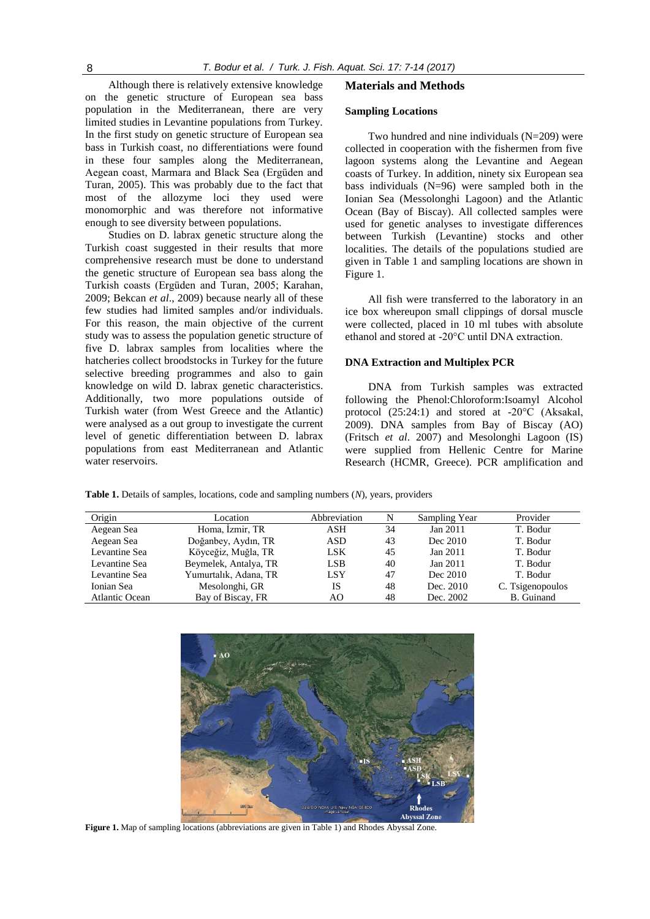Although there is relatively extensive knowledge on the genetic structure of European sea bass population in the Mediterranean, there are very limited studies in Levantine populations from Turkey. In the first study on genetic structure of European sea bass in Turkish coast, no differentiations were found in these four samples along the Mediterranean, Aegean coast, Marmara and Black Sea (Ergüden and Turan, 2005). This was probably due to the fact that most of the allozyme loci they used were monomorphic and was therefore not informative enough to see diversity between populations.

Studies on D. labrax genetic structure along the Turkish coast suggested in their results that more comprehensive research must be done to understand the genetic structure of European sea bass along the Turkish coasts (Ergüden and Turan, 2005; Karahan, 2009; Bekcan *et al*., 2009) because nearly all of these few studies had limited samples and/or individuals. For this reason, the main objective of the current study was to assess the population genetic structure of five D. labrax samples from localities where the hatcheries collect broodstocks in Turkey for the future selective breeding programmes and also to gain knowledge on wild D. labrax genetic characteristics. Additionally, two more populations outside of Turkish water (from West Greece and the Atlantic) were analysed as a out group to investigate the current level of genetic differentiation between D. labrax populations from east Mediterranean and Atlantic water reservoirs.

#### **Materials and Methods**

#### **Sampling Locations**

Two hundred and nine individuals (N=209) were collected in cooperation with the fishermen from five lagoon systems along the Levantine and Aegean coasts of Turkey. In addition, ninety six European sea bass individuals (N=96) were sampled both in the Ionian Sea (Messolonghi Lagoon) and the Atlantic Ocean (Bay of Biscay). All collected samples were used for genetic analyses to investigate differences between Turkish (Levantine) stocks and other localities. The details of the populations studied are given in Table 1 and sampling locations are shown in Figure 1.

All fish were transferred to the laboratory in an ice box whereupon small clippings of dorsal muscle were collected, placed in 10 ml tubes with absolute ethanol and stored at -20°C until DNA extraction.

#### **DNA Extraction and Multiplex PCR**

DNA from Turkish samples was extracted following the Phenol:Chloroform:Isoamyl Alcohol protocol (25:24:1) and stored at -20°C (Aksakal, 2009). DNA samples from Bay of Biscay (AO) (Fritsch *et al*. 2007) and Mesolonghi Lagoon (IS) were supplied from Hellenic Centre for Marine Research (HCMR, Greece). PCR amplification and

**Table 1.** Details of samples, locations, code and sampling numbers (*N*), years, providers

| Origin                | Location              | Abbreviation | N  | Sampling Year | Provider          |
|-----------------------|-----------------------|--------------|----|---------------|-------------------|
| Aegean Sea            | Homa, İzmir, TR       | ASH          | 34 | Jan 2011      | T. Bodur          |
| Aegean Sea            | Doğanbey, Aydın, TR   | <b>ASD</b>   | 43 | Dec 2010      | T. Bodur          |
| Levantine Sea         | Köyceğiz, Muğla, TR   | <b>LSK</b>   | 45 | Jan 2011      | T. Bodur          |
| Levantine Sea         | Beymelek, Antalya, TR | LSB          | 40 | Jan 2011      | T. Bodur          |
| Levantine Sea         | Yumurtalık, Adana, TR | <b>LSY</b>   | 47 | Dec 2010      | T. Bodur          |
| Ionian Sea            | Mesolonghi, GR        | IS           | 48 | Dec. 2010     | C. Tsigenopoulos  |
| <b>Atlantic Ocean</b> | Bay of Biscay, FR     | AΟ           | 48 | Dec. 2002     | <b>B.</b> Guinand |



**Figure 1.** Map of sampling locations (abbreviations are given in Table 1) and Rhodes Abyssal Zone.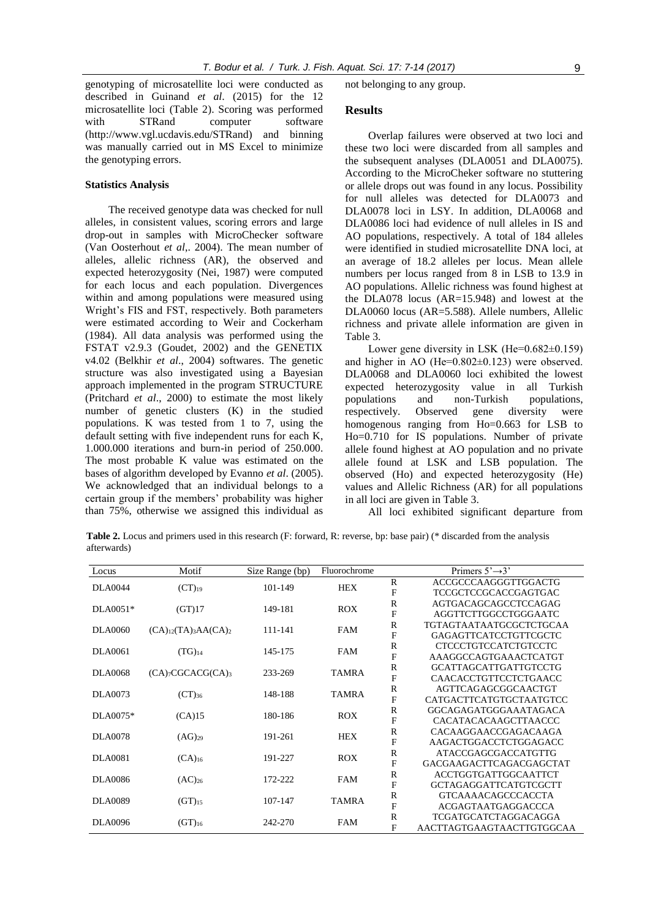genotyping of microsatellite loci were conducted as described in Guinand *et al*. (2015) for the 12 microsatellite loci (Table 2). Scoring was performed with STRand computer software (http://www.vgl.ucdavis.edu/STRand) and binning was manually carried out in MS Excel to minimize the genotyping errors.

#### **Statistics Analysis**

The received genotype data was checked for null alleles, in consistent values, scoring errors and large drop-out in samples with MicroChecker software (Van Oosterhout *et al*,. 2004). The mean number of alleles, allelic richness (AR), the observed and expected heterozygosity (Nei, 1987) were computed for each locus and each population. Divergences within and among populations were measured using Wright's FIS and FST, respectively. Both parameters were estimated according to Weir and Cockerham (1984). All data analysis was performed using the FSTAT v2.9.3 (Goudet, 2002) and the GENETIX v4.02 (Belkhir *et al*., 2004) softwares. The genetic structure was also investigated using a Bayesian approach implemented in the program STRUCTURE (Pritchard *et al*., 2000) to estimate the most likely number of genetic clusters (K) in the studied populations. K was tested from 1 to 7, using the default setting with five independent runs for each K, 1.000.000 iterations and burn-in period of 250.000. The most probable K value was estimated on the bases of algorithm developed by Evanno *et al*. (2005). We acknowledged that an individual belongs to a certain group if the members' probability was higher than 75%, otherwise we assigned this individual as not belonging to any group.

#### **Results**

Overlap failures were observed at two loci and these two loci were discarded from all samples and the subsequent analyses (DLA0051 and DLA0075). According to the MicroCheker software no stuttering or allele drops out was found in any locus. Possibility for null alleles was detected for DLA0073 and DLA0078 loci in LSY. In addition, DLA0068 and DLA0086 loci had evidence of null alleles in IS and AO populations, respectively. A total of 184 alleles were identified in studied microsatellite DNA loci, at an average of 18.2 alleles per locus. Mean allele numbers per locus ranged from 8 in LSB to 13.9 in AO populations. Allelic richness was found highest at the DLA078 locus (AR=15.948) and lowest at the DLA0060 locus (AR=5.588). Allele numbers, Allelic richness and private allele information are given in Table 3.

Lower gene diversity in LSK (He=0.682±0.159) and higher in AO (He=0.802±0.123) were observed. DLA0068 and DLA0060 loci exhibited the lowest expected heterozygosity value in all Turkish<br>populations and non-Turkish populations, populations and non-Turkish populations, respectively. Observed gene diversity were homogenous ranging from Ho=0.663 for LSB to Ho=0.710 for IS populations. Number of private allele found highest at AO population and no private allele found at LSK and LSB population. The observed (Ho) and expected heterozygosity (He) values and Allelic Richness (AR) for all populations in all loci are given in Table 3.

All loci exhibited significant departure from

**Table 2.** Locus and primers used in this research (F: forward, R: reverse, bp: base pair) (\* discarded from the analysis afterwards)

| Locus          | Motif                                          | Size Range (bp) | Fluorochrome |                | Primers $5' \rightarrow 3'$    |
|----------------|------------------------------------------------|-----------------|--------------|----------------|--------------------------------|
| <b>DLA0044</b> |                                                | 101-149         | <b>HEX</b>   | ${\mathbb R}$  | ACCGCCCAAGGGTTGGACTG           |
|                | $(CT)_{19}$                                    |                 |              | $\rm F$        | <b>TCCGCTCCGCACCGAGTGAC</b>    |
| $DLA0051*$     |                                                | 149-181         | <b>ROX</b>   | $\mathbb R$    | AGTGACAGCAGCCTCCAGAG           |
|                | (GT)17                                         |                 |              | $\rm F$        | AGGTTCTTGGCCTGGGAATC           |
| <b>DLA0060</b> | $(CA)_{12}(TA)_{3}AA(CA)_{2}$                  | 111-141         | <b>FAM</b>   | $\mathbf R$    | <b>TGTAGTAATAATGCGCTCTGCAA</b> |
|                |                                                |                 |              | $\mathbf F$    | <b>GAGAGTTCATCCTGTTCGCTC</b>   |
| <b>DLA0061</b> |                                                | 145-175         | <b>FAM</b>   | $\mathbb R$    | <b>CTCCCTGTCCATCTGTCCTC</b>    |
|                | $(TG)_{14}$                                    |                 |              | $\mathbf F$    | AAAGGCCAGTGAAACTCATGT          |
| <b>DLA0068</b> |                                                | 233-269         |              | $\mathbb{R}$   | <b>GCATTAGCATTGATTGTCCTG</b>   |
|                | $(CA)$ <sub>7</sub> CGCACG $(CA)$ <sub>3</sub> |                 | <b>TAMRA</b> | $\rm F$        | CAACACCTGTTCCTCTGAACC          |
| DLA0073        | $(CT)_{36}$                                    | 148-188         | <b>TAMRA</b> | $\mathbb R$    | AGTTCAGAGCGGCAACTGT            |
|                |                                                |                 |              | $\overline{F}$ | CATGACTTCATGTGCTAATGTCC        |
| DLA0075*       | (CA)15                                         | 180-186         | <b>ROX</b>   | $\mathbb R$    | GGCAGAGATGGGAAATAGACA          |
|                |                                                |                 |              | $\overline{F}$ | <b>CACATACACAAGCTTAACCC</b>    |
| <b>DLA0078</b> | $(AG)_{29}$                                    | 191-261         | <b>HEX</b>   | $\mathbb R$    | CACAAGGAACCGAGACAAGA           |
|                |                                                |                 |              | $\mathbf F$    | AAGACTGGACCTCTGGAGACC          |
| <b>DLA0081</b> | $(CA)_{16}$                                    | 191-227         | <b>ROX</b>   | $\mathbb R$    | <b>ATACCGAGCGACCATGTTG</b>     |
|                |                                                |                 |              | $\rm F$        | GACGAAGACTTCAGACGAGCTAT        |
| <b>DLA0086</b> | $(AC)_{26}$                                    | 172-222         | FAM          | $\mathbb R$    | <b>ACCTGGTGATTGGCAATTCT</b>    |
|                |                                                |                 |              | $\rm F$        | <b>GCTAGAGGATTCATGTCGCTT</b>   |
| <b>DLA0089</b> | $(GT)_{15}$                                    | 107-147         | <b>TAMRA</b> | $\mathbf R$    | <b>GTCAAAACAGCCCACCTA</b>      |
|                |                                                |                 |              | $\overline{F}$ | ACGAGTAATGAGGACCCA             |
|                | $(GT)_{16}$                                    | 242-270         | FAM          | $\mathbb R$    | <b>TCGATGCATCTAGGACAGGA</b>    |
| <b>DLA0096</b> |                                                |                 |              | F              | AACTTAGTGAAGTAACTTGTGGCAA      |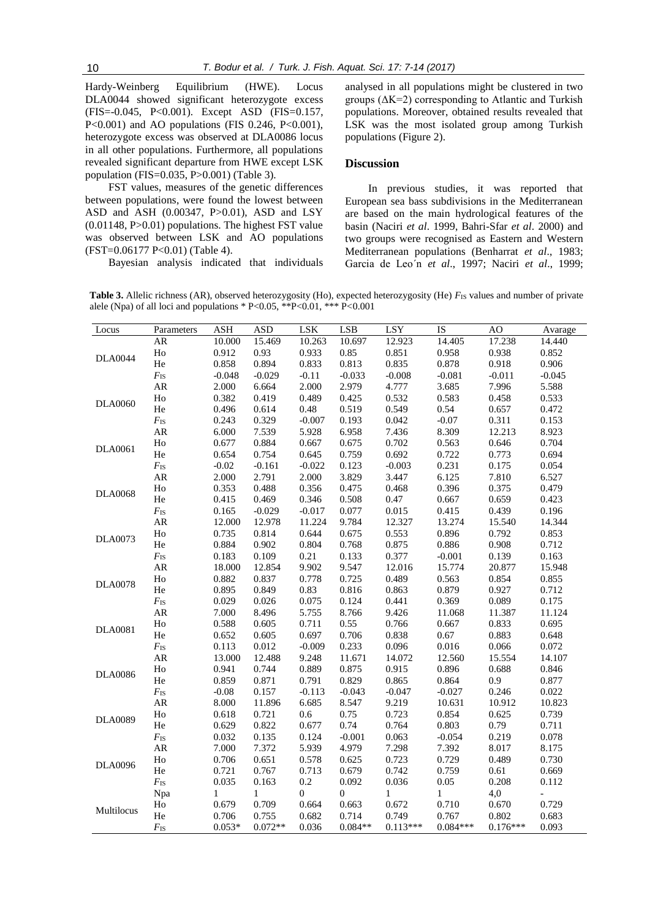Hardy-Weinberg Equilibrium (HWE). Locus DLA0044 showed significant heterozygote excess (FIS=-0.045, P<0.001). Except ASD (FIS=0.157, P<0.001) and AO populations (FIS 0.246, P<0.001), heterozygote excess was observed at DLA0086 locus in all other populations. Furthermore, all populations revealed significant departure from HWE except LSK population (FIS=0.035, P>0.001) (Table 3).

FST values, measures of the genetic differences between populations, were found the lowest between ASD and ASH (0.00347, P>0.01), ASD and LSY (0.01148, P>0.01) populations. The highest FST value was observed between LSK and AO populations (FST=0.06177 P<0.01) (Table 4).

Bayesian analysis indicated that individuals

analysed in all populations might be clustered in two groups  $(\Delta K=2)$  corresponding to Atlantic and Turkish populations. Moreover, obtained results revealed that LSK was the most isolated group among Turkish populations (Figure 2).

## **Discussion**

In previous studies, it was reported that European sea bass subdivisions in the Mediterranean are based on the main hydrological features of the basin (Naciri *et al*. 1999, Bahri-Sfar *et al*. 2000) and two groups were recognised as Eastern and Western Mediterranean populations (Benharrat *et al*., 1983; Garcia de Leo´n *et al*., 1997; Naciri *et al*., 1999;

**Table 3.** Allelic richness (AR), observed heterozygosity (Ho), expected heterozygosity (He) *F*<sub>IS</sub> values and number of private alele (Npa) of all loci and populations \* P<0.05, \*\*P<0.01, \*\*\* P<0.001

| Locus                                                                                                                                          | Parameters     | <b>ASH</b> | <b>ASD</b>   | LSK              | <b>LSB</b>       | LSY      | IS                                                                                                                                                                                                                                                                                                                                                                                                                                                                                                                                                                                                                                                                                                                                                                                        | AO                                                                                                                                                                                                                                                                                                                                                                                    | Avarage  |
|------------------------------------------------------------------------------------------------------------------------------------------------|----------------|------------|--------------|------------------|------------------|----------|-------------------------------------------------------------------------------------------------------------------------------------------------------------------------------------------------------------------------------------------------------------------------------------------------------------------------------------------------------------------------------------------------------------------------------------------------------------------------------------------------------------------------------------------------------------------------------------------------------------------------------------------------------------------------------------------------------------------------------------------------------------------------------------------|---------------------------------------------------------------------------------------------------------------------------------------------------------------------------------------------------------------------------------------------------------------------------------------------------------------------------------------------------------------------------------------|----------|
|                                                                                                                                                | AR             | 10.000     | 15.469       | 10.263           | 10.697           | 12.923   | 14.405                                                                                                                                                                                                                                                                                                                                                                                                                                                                                                                                                                                                                                                                                                                                                                                    | 17.238                                                                                                                                                                                                                                                                                                                                                                                | 14.440   |
|                                                                                                                                                | ${\rm Ho}$     | 0.912      | 0.93         | 0.933            | 0.85             |          | 0.958                                                                                                                                                                                                                                                                                                                                                                                                                                                                                                                                                                                                                                                                                                                                                                                     | 0.938                                                                                                                                                                                                                                                                                                                                                                                 | 0.852    |
| <b>DLA0044</b>                                                                                                                                 | He             | 0.858      | 0.894        | 0.833            | 0.813            | 0.835    | 0.878                                                                                                                                                                                                                                                                                                                                                                                                                                                                                                                                                                                                                                                                                                                                                                                     | 0.918                                                                                                                                                                                                                                                                                                                                                                                 | 0.906    |
|                                                                                                                                                | $F_{\rm IS}$   | $-0.048$   | $-0.029$     | $-0.11$          | $-0.033$         | $-0.008$ | $-0.081$                                                                                                                                                                                                                                                                                                                                                                                                                                                                                                                                                                                                                                                                                                                                                                                  | $-0.011$<br>7.996<br>0.458<br>0.657<br>0.311<br>12.213<br>0.646<br>0.773<br>0.175<br>7.810<br>0.375<br>0.659<br>0.439<br>15.540<br>0.792<br>0.908<br>0.139<br>20.877<br>0.854<br>0.927<br>0.089<br>11.387<br>0.833<br>0.883<br>0.066<br>15.554<br>0.688<br>0.9<br>0.246<br>10.912<br>0.625<br>0.79<br>0.219<br>8.017<br>0.489<br>0.61<br>0.208<br>4,0<br>0.670<br>0.802<br>$0.176***$ | $-0.045$ |
|                                                                                                                                                | AR             | 2.000      | 6.664        | 2.000            | 2.979            | 4.777    | 0.851<br>3.685<br>0.532<br>0.583<br>0.549<br>0.54<br>$-0.07$<br>0.042<br>7.436<br>8.309<br>0.702<br>0.563<br>0.692<br>0.722<br>0.231<br>$-0.003$<br>3.447<br>6.125<br>0.468<br>0.396<br>0.47<br>0.667<br>0.015<br>0.415<br>12.327<br>13.274<br>0.896<br>0.553<br>0.875<br>0.886<br>0.377<br>$-0.001$<br>12.016<br>15.774<br>0.489<br>0.563<br>0.879<br>0.863<br>0.441<br>0.369<br>9.426<br>11.068<br>0.766<br>0.667<br>0.838<br>0.67<br>0.096<br>0.016<br>14.072<br>12.560<br>0.915<br>0.896<br>0.865<br>0.864<br>$-0.047$<br>$-0.027$<br>9.219<br>10.631<br>0.723<br>0.854<br>0.764<br>0.803<br>0.063<br>$-0.054$<br>7.298<br>7.392<br>0.723<br>0.729<br>0.742<br>0.759<br>0.036<br>0.05<br>$\mathbf{1}$<br>$\mathbf{1}$<br>0.672<br>0.710<br>0.749<br>0.767<br>$0.113***$<br>$0.084***$ | 5.588                                                                                                                                                                                                                                                                                                                                                                                 |          |
|                                                                                                                                                | ${\rm Ho}$     | 0.382      | 0.419        | 0.489            | 0.425            |          |                                                                                                                                                                                                                                                                                                                                                                                                                                                                                                                                                                                                                                                                                                                                                                                           |                                                                                                                                                                                                                                                                                                                                                                                       | 0.533    |
| <b>DLA0060</b>                                                                                                                                 | He             | 0.496      | 0.614        | 0.48             | 0.519            |          |                                                                                                                                                                                                                                                                                                                                                                                                                                                                                                                                                                                                                                                                                                                                                                                           |                                                                                                                                                                                                                                                                                                                                                                                       | 0.472    |
|                                                                                                                                                | $F_{\rm IS}$   | 0.243      | 0.329        | $-0.007$         | 0.193            |          |                                                                                                                                                                                                                                                                                                                                                                                                                                                                                                                                                                                                                                                                                                                                                                                           |                                                                                                                                                                                                                                                                                                                                                                                       | 0.153    |
|                                                                                                                                                | ${\sf AR}$     | 6.000      | 7.539        | 5.928            | 6.958            |          |                                                                                                                                                                                                                                                                                                                                                                                                                                                                                                                                                                                                                                                                                                                                                                                           |                                                                                                                                                                                                                                                                                                                                                                                       | 8.923    |
|                                                                                                                                                | H <sub>0</sub> | 0.677      | 0.884        | 0.667            | 0.675            |          |                                                                                                                                                                                                                                                                                                                                                                                                                                                                                                                                                                                                                                                                                                                                                                                           |                                                                                                                                                                                                                                                                                                                                                                                       | 0.704    |
| <b>DLA0061</b>                                                                                                                                 | He             | 0.654      | 0.754        | 0.645            | 0.759            |          |                                                                                                                                                                                                                                                                                                                                                                                                                                                                                                                                                                                                                                                                                                                                                                                           |                                                                                                                                                                                                                                                                                                                                                                                       | 0.694    |
|                                                                                                                                                | $F_{\rm IS}$   | $-0.02$    | $-0.161$     | $-0.022$         | 0.123            |          |                                                                                                                                                                                                                                                                                                                                                                                                                                                                                                                                                                                                                                                                                                                                                                                           |                                                                                                                                                                                                                                                                                                                                                                                       | 0.054    |
|                                                                                                                                                | ${\sf AR}$     | 2.000      | 2.791        | 2.000            | 3.829            |          |                                                                                                                                                                                                                                                                                                                                                                                                                                                                                                                                                                                                                                                                                                                                                                                           |                                                                                                                                                                                                                                                                                                                                                                                       | 6.527    |
|                                                                                                                                                | $H_0$          | 0.353      | 0.488        | 0.356            | 0.475            |          |                                                                                                                                                                                                                                                                                                                                                                                                                                                                                                                                                                                                                                                                                                                                                                                           |                                                                                                                                                                                                                                                                                                                                                                                       | 0.479    |
| <b>DLA0068</b>                                                                                                                                 | He             | 0.415      | 0.469        | 0.346            | 0.508            |          |                                                                                                                                                                                                                                                                                                                                                                                                                                                                                                                                                                                                                                                                                                                                                                                           |                                                                                                                                                                                                                                                                                                                                                                                       | 0.423    |
|                                                                                                                                                | $F_{\rm IS}$   | 0.165      | $-0.029$     | $-0.017$         | 0.077            |          |                                                                                                                                                                                                                                                                                                                                                                                                                                                                                                                                                                                                                                                                                                                                                                                           |                                                                                                                                                                                                                                                                                                                                                                                       | 0.196    |
|                                                                                                                                                | AR             | 12.000     | 12.978       | 11.224           | 9.784            |          |                                                                                                                                                                                                                                                                                                                                                                                                                                                                                                                                                                                                                                                                                                                                                                                           |                                                                                                                                                                                                                                                                                                                                                                                       | 14.344   |
|                                                                                                                                                | ${\rm Ho}$     | 0.735      | 0.814        | 0.644            | 0.675            |          |                                                                                                                                                                                                                                                                                                                                                                                                                                                                                                                                                                                                                                                                                                                                                                                           |                                                                                                                                                                                                                                                                                                                                                                                       | 0.853    |
|                                                                                                                                                | $\rm He$       | 0.884      | 0.902        | 0.804            | 0.768            |          |                                                                                                                                                                                                                                                                                                                                                                                                                                                                                                                                                                                                                                                                                                                                                                                           |                                                                                                                                                                                                                                                                                                                                                                                       | 0.712    |
|                                                                                                                                                | $F_{\rm IS}$   | 0.183      | 0.109        | 0.21             | 0.133            |          |                                                                                                                                                                                                                                                                                                                                                                                                                                                                                                                                                                                                                                                                                                                                                                                           |                                                                                                                                                                                                                                                                                                                                                                                       | 0.163    |
| <b>DLA0073</b><br>${\sf AR}$<br>H <sub>o</sub><br><b>DLA0078</b><br>He<br>$F_{\rm IS}$<br>${\sf AR}$<br>H <sub>0</sub><br><b>DLA0081</b><br>He | 18.000         | 12.854     | 9.902        | 9.547            |                  |          |                                                                                                                                                                                                                                                                                                                                                                                                                                                                                                                                                                                                                                                                                                                                                                                           | 15.948                                                                                                                                                                                                                                                                                                                                                                                |          |
|                                                                                                                                                |                | 0.882      | 0.837        | 0.778            | 0.725            |          |                                                                                                                                                                                                                                                                                                                                                                                                                                                                                                                                                                                                                                                                                                                                                                                           |                                                                                                                                                                                                                                                                                                                                                                                       | 0.855    |
|                                                                                                                                                |                | 0.895      | 0.849        | 0.83             | 0.816            |          |                                                                                                                                                                                                                                                                                                                                                                                                                                                                                                                                                                                                                                                                                                                                                                                           |                                                                                                                                                                                                                                                                                                                                                                                       | 0.712    |
|                                                                                                                                                |                | 0.029      | 0.026        | 0.075            | 0.124            |          |                                                                                                                                                                                                                                                                                                                                                                                                                                                                                                                                                                                                                                                                                                                                                                                           |                                                                                                                                                                                                                                                                                                                                                                                       | 0.175    |
|                                                                                                                                                |                | 7.000      | 8.496        | 5.755            | 8.766            |          |                                                                                                                                                                                                                                                                                                                                                                                                                                                                                                                                                                                                                                                                                                                                                                                           |                                                                                                                                                                                                                                                                                                                                                                                       | 11.124   |
|                                                                                                                                                |                | 0.588      | 0.605        | 0.711            | 0.55             |          |                                                                                                                                                                                                                                                                                                                                                                                                                                                                                                                                                                                                                                                                                                                                                                                           |                                                                                                                                                                                                                                                                                                                                                                                       | 0.695    |
|                                                                                                                                                |                | 0.652      | 0.605        | 0.697            | 0.706            |          |                                                                                                                                                                                                                                                                                                                                                                                                                                                                                                                                                                                                                                                                                                                                                                                           |                                                                                                                                                                                                                                                                                                                                                                                       | 0.648    |
|                                                                                                                                                | $F_{\rm IS}$   | 0.113      | 0.012        | $-0.009$         | 0.233            |          |                                                                                                                                                                                                                                                                                                                                                                                                                                                                                                                                                                                                                                                                                                                                                                                           |                                                                                                                                                                                                                                                                                                                                                                                       | 0.072    |
|                                                                                                                                                | AR             | 13.000     | 12.488       | 9.248            | 11.671           |          |                                                                                                                                                                                                                                                                                                                                                                                                                                                                                                                                                                                                                                                                                                                                                                                           |                                                                                                                                                                                                                                                                                                                                                                                       | 14.107   |
|                                                                                                                                                | ${\rm Ho}$     | 0.941      | 0.744        | 0.889            | 0.875            |          |                                                                                                                                                                                                                                                                                                                                                                                                                                                                                                                                                                                                                                                                                                                                                                                           |                                                                                                                                                                                                                                                                                                                                                                                       | 0.846    |
|                                                                                                                                                | He             | 0.859      | 0.871        | 0.791            | 0.829            |          |                                                                                                                                                                                                                                                                                                                                                                                                                                                                                                                                                                                                                                                                                                                                                                                           |                                                                                                                                                                                                                                                                                                                                                                                       | 0.877    |
|                                                                                                                                                | $F_{\rm IS}$   | $-0.08$    | 0.157        | $-0.113$         | $-0.043$         |          |                                                                                                                                                                                                                                                                                                                                                                                                                                                                                                                                                                                                                                                                                                                                                                                           |                                                                                                                                                                                                                                                                                                                                                                                       | 0.022    |
|                                                                                                                                                | ${\sf AR}$     | 8.000      | 11.896       | 6.685            | 8.547            |          |                                                                                                                                                                                                                                                                                                                                                                                                                                                                                                                                                                                                                                                                                                                                                                                           |                                                                                                                                                                                                                                                                                                                                                                                       | 10.823   |
|                                                                                                                                                | H <sub>0</sub> | 0.618      | 0.721        | 0.6              | 0.75             |          |                                                                                                                                                                                                                                                                                                                                                                                                                                                                                                                                                                                                                                                                                                                                                                                           |                                                                                                                                                                                                                                                                                                                                                                                       | 0.739    |
|                                                                                                                                                | He             | 0.629      | 0.822        | 0.677            | 0.74             |          |                                                                                                                                                                                                                                                                                                                                                                                                                                                                                                                                                                                                                                                                                                                                                                                           |                                                                                                                                                                                                                                                                                                                                                                                       | 0.711    |
|                                                                                                                                                | $F_{\rm IS}$   | 0.032      | 0.135        | 0.124            | $-0.001$         |          |                                                                                                                                                                                                                                                                                                                                                                                                                                                                                                                                                                                                                                                                                                                                                                                           |                                                                                                                                                                                                                                                                                                                                                                                       | 0.078    |
|                                                                                                                                                | ${\sf AR}$     | 7.000      | 7.372        | 5.939            | 4.979            |          |                                                                                                                                                                                                                                                                                                                                                                                                                                                                                                                                                                                                                                                                                                                                                                                           |                                                                                                                                                                                                                                                                                                                                                                                       | 8.175    |
|                                                                                                                                                | $H_0$          | 0.706      | 0.651        | 0.578            | 0.625            |          |                                                                                                                                                                                                                                                                                                                                                                                                                                                                                                                                                                                                                                                                                                                                                                                           |                                                                                                                                                                                                                                                                                                                                                                                       | 0.730    |
|                                                                                                                                                | $\rm He$       | 0.721      | 0.767        | 0.713            | 0.679            |          |                                                                                                                                                                                                                                                                                                                                                                                                                                                                                                                                                                                                                                                                                                                                                                                           |                                                                                                                                                                                                                                                                                                                                                                                       | 0.669    |
|                                                                                                                                                | $F_{\rm IS}$   | 0.035      | 0.163        | $0.2\,$          | 0.092            |          |                                                                                                                                                                                                                                                                                                                                                                                                                                                                                                                                                                                                                                                                                                                                                                                           |                                                                                                                                                                                                                                                                                                                                                                                       | 0.112    |
|                                                                                                                                                | Npa            | 1          | $\mathbf{1}$ | $\boldsymbol{0}$ | $\boldsymbol{0}$ |          |                                                                                                                                                                                                                                                                                                                                                                                                                                                                                                                                                                                                                                                                                                                                                                                           |                                                                                                                                                                                                                                                                                                                                                                                       |          |
|                                                                                                                                                | H <sub>o</sub> | 0.679      | 0.709        | 0.664            | 0.663            |          |                                                                                                                                                                                                                                                                                                                                                                                                                                                                                                                                                                                                                                                                                                                                                                                           |                                                                                                                                                                                                                                                                                                                                                                                       | 0.729    |
| <b>DLA0086</b><br><b>DLA0089</b><br><b>DLA0096</b><br>Multilocus                                                                               | He             | 0.706      | 0.755        | 0.682            | 0.714            |          |                                                                                                                                                                                                                                                                                                                                                                                                                                                                                                                                                                                                                                                                                                                                                                                           |                                                                                                                                                                                                                                                                                                                                                                                       | 0.683    |
|                                                                                                                                                | $F_{\rm IS}$   | $0.053*$   | $0.072**$    | 0.036            | $0.084**$        |          |                                                                                                                                                                                                                                                                                                                                                                                                                                                                                                                                                                                                                                                                                                                                                                                           |                                                                                                                                                                                                                                                                                                                                                                                       | 0.093    |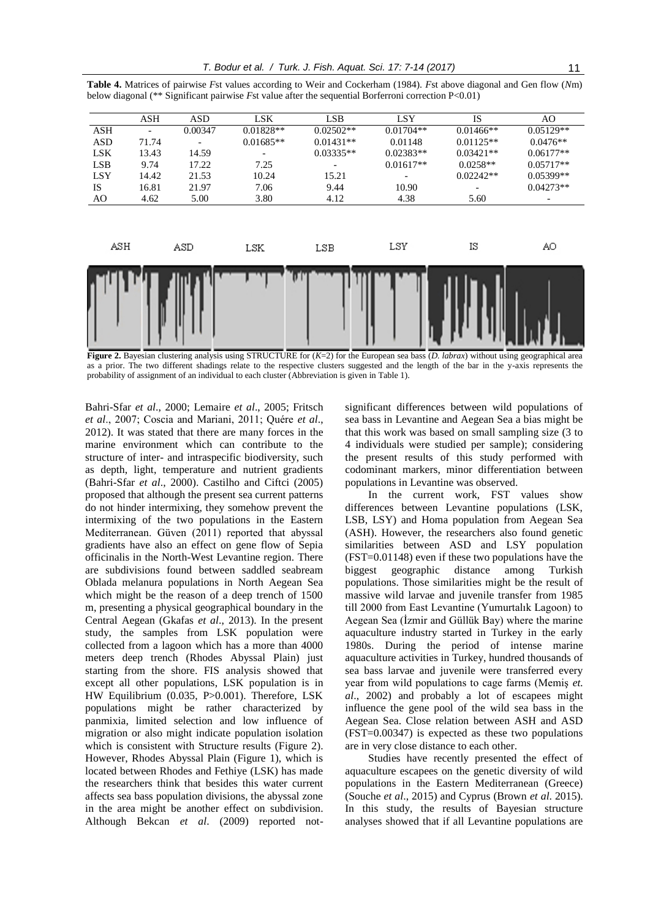|  | Table 4. Matrices of pairwise Fst values according to Weir and Cockerham (1984). Fst above diagonal and Gen flow (Nm) |  |  |  |  |  |
|--|-----------------------------------------------------------------------------------------------------------------------|--|--|--|--|--|
|  | below diagonal (** Significant pairwise <i>F</i> st value after the sequential Borferroni correction $P<0.01$ )       |  |  |  |  |  |

|            | <b>ASH</b> | ASD     | LSK         | LSB.        | <b>LSY</b>  | <b>IS</b>   | AO                       |
|------------|------------|---------|-------------|-------------|-------------|-------------|--------------------------|
| ASH        |            | 0.00347 | $0.01828**$ | $0.02502**$ | $0.01704**$ | $0.01466**$ | $0.05129**$              |
| <b>ASD</b> | 71.74      |         | $0.01685**$ | $0.01431**$ | 0.01148     | $0.01125**$ | $0.0476**$               |
| <b>LSK</b> | 13.43      | 14.59   |             | $0.03335**$ | $0.02383**$ | $0.03421**$ | $0.06177**$              |
| <b>LSB</b> | 9.74       | 17.22   | 7.25        |             | $0.01617**$ | $0.0258**$  | $0.05717**$              |
| <b>LSY</b> | 14.42      | 21.53   | 10.24       | 15.21       |             | $0.02242**$ | $0.05399**$              |
| <b>IS</b>  | 16.81      | 21.97   | 7.06        | 9.44        | 10.90       |             | $0.04273**$              |
| AO         | 4.62       | 5.00    | 3.80        | 4.12        | 4.38        | 5.60        | $\overline{\phantom{a}}$ |
| ASH        |            | ASD     | LSK         | LSB         | LSY         | ΙS          | AO                       |
|            |            |         |             |             |             |             |                          |

**Figure 2.** Bayesian clustering analysis using STRUCTURE for  $(K=2)$  for the European sea bass  $(D. \text{ \textit{labraz}})$  without using geographical area as a prior. The two different shadings relate to the respective clusters suggested and the length of the bar in the y-axis represents the probability of assignment of an individual to each cluster (Abbreviation is given in Table 1).

Bahri-Sfar *et al*., 2000; Lemaire *et al*., 2005; Fritsch *et al*., 2007; Coscia and Mariani, 2011; Quére *et al*., 2012). It was stated that there are many forces in the marine environment which can contribute to the structure of inter- and intraspecific biodiversity, such as depth, light, temperature and nutrient gradients (Bahri-Sfar *et al*., 2000). Castilho and Ciftci (2005) proposed that although the present sea current patterns do not hinder intermixing, they somehow prevent the intermixing of the two populations in the Eastern Mediterranean. Güven (2011) reported that abyssal gradients have also an effect on gene flow of Sepia officinalis in the North-West Levantine region. There are subdivisions found between saddled seabream Oblada melanura populations in North Aegean Sea which might be the reason of a deep trench of 1500 m, presenting a physical geographical boundary in the Central Aegean (Gkafas *et al*., 2013). In the present study, the samples from LSK population were collected from a lagoon which has a more than 4000 meters deep trench (Rhodes Abyssal Plain) just starting from the shore. FIS analysis showed that except all other populations, LSK population is in HW Equilibrium (0.035, P>0.001). Therefore, LSK populations might be rather characterized by panmixia, limited selection and low influence of migration or also might indicate population isolation which is consistent with Structure results (Figure 2). However, Rhodes Abyssal Plain (Figure 1), which is located between Rhodes and Fethiye (LSK) has made the researchers think that besides this water current affects sea bass population divisions, the abyssal zone in the area might be another effect on subdivision. Although Bekcan *et al*. (2009) reported notsignificant differences between wild populations of sea bass in Levantine and Aegean Sea a bias might be that this work was based on small sampling size (3 to 4 individuals were studied per sample); considering the present results of this study performed with codominant markers, minor differentiation between populations in Levantine was observed.

In the current work, FST values show differences between Levantine populations (LSK, LSB, LSY) and Homa population from Aegean Sea (ASH). However, the researchers also found genetic similarities between ASD and LSY population (FST=0.01148) even if these two populations have the biggest geographic distance among Turkish populations. Those similarities might be the result of massive wild larvae and juvenile transfer from 1985 till 2000 from East Levantine (Yumurtalık Lagoon) to Aegean Sea (İzmir and Güllük Bay) where the marine aquaculture industry started in Turkey in the early 1980s. During the period of intense marine aquaculture activities in Turkey, hundred thousands of sea bass larvae and juvenile were transferred every year from wild populations to cage farms (Memiş *et. al*., 2002) and probably a lot of escapees might influence the gene pool of the wild sea bass in the Aegean Sea. Close relation between ASH and ASD (FST=0.00347) is expected as these two populations are in very close distance to each other.

Studies have recently presented the effect of aquaculture escapees on the genetic diversity of wild populations in the Eastern Mediterranean (Greece) (Souche *et al*., 2015) and Cyprus (Brown *et al*. 2015). In this study, the results of Bayesian structure analyses showed that if all Levantine populations are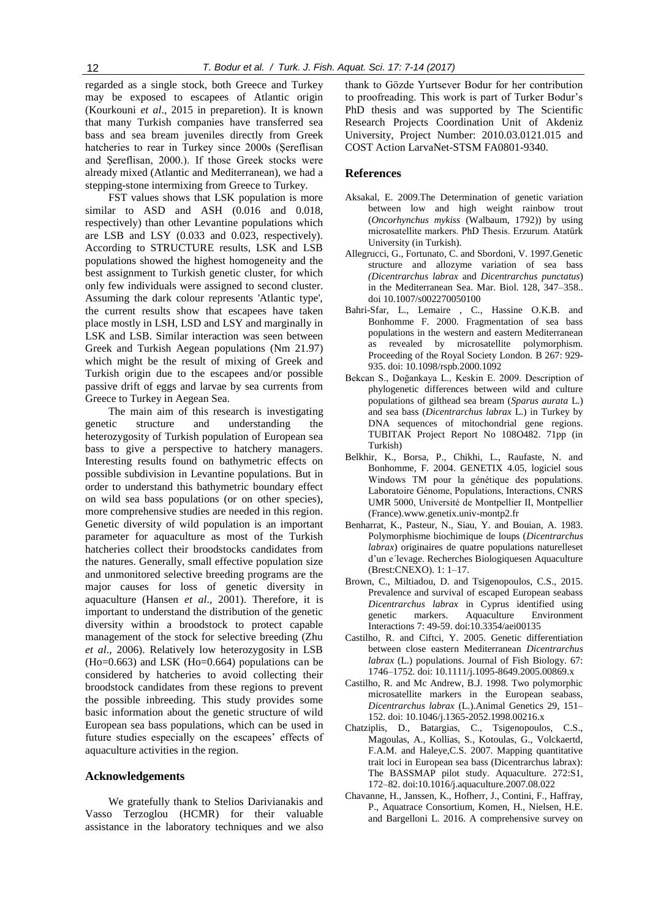regarded as a single stock, both Greece and Turkey may be exposed to escapees of Atlantic origin (Kourkouni *et al*., 2015 in preparetion). It is known that many Turkish companies have transferred sea bass and sea bream juveniles directly from Greek hatcheries to rear in Turkey since 2000s (Şereflisan and Şereflisan, 2000.). If those Greek stocks were already mixed (Atlantic and Mediterranean), we had a stepping-stone intermixing from Greece to Turkey.

FST values shows that LSK population is more similar to ASD and ASH  $(0.016$  and  $0.018$ , respectively) than other Levantine populations which are LSB and LSY (0.033 and 0.023, respectively). According to STRUCTURE results, LSK and LSB populations showed the highest homogeneity and the best assignment to Turkish genetic cluster, for which only few individuals were assigned to second cluster. Assuming the dark colour represents 'Atlantic type', the current results show that escapees have taken place mostly in LSH, LSD and LSY and marginally in LSK and LSB. Similar interaction was seen between Greek and Turkish Aegean populations (Nm 21.97) which might be the result of mixing of Greek and Turkish origin due to the escapees and/or possible passive drift of eggs and larvae by sea currents from Greece to Turkey in Aegean Sea.

The main aim of this research is investigating genetic structure and understanding the heterozygosity of Turkish population of European sea bass to give a perspective to hatchery managers. Interesting results found on bathymetric effects on possible subdivision in Levantine populations. But in order to understand this bathymetric boundary effect on wild sea bass populations (or on other species), more comprehensive studies are needed in this region. Genetic diversity of wild population is an important parameter for aquaculture as most of the Turkish hatcheries collect their broodstocks candidates from the natures. Generally, small effective population size and unmonitored selective breeding programs are the major causes for loss of genetic diversity in aquaculture (Hansen *et al*., 2001). Therefore, it is important to understand the distribution of the genetic diversity within a broodstock to protect capable management of the stock for selective breeding (Zhu *et al*., 2006). Relatively low heterozygosity in LSB (Ho=0.663) and LSK (Ho=0.664) populations can be considered by hatcheries to avoid collecting their broodstock candidates from these regions to prevent the possible inbreeding. This study provides some basic information about the genetic structure of wild European sea bass populations, which can be used in future studies especially on the escapees' effects of aquaculture activities in the region.

#### **Acknowledgements**

We gratefully thank to Stelios Darivianakis and Vasso Terzoglou (HCMR) for their valuable assistance in the laboratory techniques and we also thank to Gözde Yurtsever Bodur for her contribution to proofreading. This work is part of Turker Bodur's PhD thesis and was supported by The Scientific Research Projects Coordination Unit of Akdeniz University, Project Number: 2010.03.0121.015 and COST Action LarvaNet-STSM FA0801-9340.

#### **References**

- Aksakal, E. 2009.The Determination of genetic variation between low and high weight rainbow trout (*Oncorhynchus mykiss* (Walbaum, 1792)) by using microsatellite markers. PhD Thesis. Erzurum. Atatürk University (in Turkish).
- Allegrucci, G., Fortunato, C. and Sbordoni, V. 1997.Genetic structure and allozyme variation of sea bass *(Dicentrarchus labrax* and *Dicentrarchus punctatus*) in the Mediterranean Sea. Mar. Biol. 128, 347–358.. doi 10.1007/s002270050100
- Bahri-Sfar, L., Lemaire , C., Hassine O.K.B. and Bonhomme F. 2000. Fragmentation of sea bass populations in the western and eastern Mediterranean as revealed by microsatellite polymorphism. Proceeding of the Royal Society London. B 267: 929- 935. doi: 10.1098/rspb.2000.1092
- Bekcan S., Doğankaya L., Keskin E. 2009. Description of phylogenetic differences between wild and culture populations of gilthead sea bream (*Sparus aurata* L.) and sea bass (*Dicentrarchus labrax* L.) in Turkey by DNA sequences of mitochondrial gene regions. TUBITAK Project Report No 108O482. 71pp (in Turkish)
- Belkhir, K., Borsa, P., Chikhi, L., Raufaste, N. and Bonhomme, F. 2004. GENETIX 4.05, logiciel sous Windows TM pour la génétique des populations. Laboratoire Génome, Populations, Interactions, CNRS UMR 5000, Université de Montpellier II, Montpellier (France).www.genetix.univ-montp2.fr
- Benharrat, K., Pasteur, N., Siau, Y. and Bouian, A. 1983. Polymorphisme biochimique de loups (*Dicentrarchus labrax*) originaires de quatre populations naturelleset d'un e´levage. Recherches Biologiquesen Aquaculture (Brest:CNEXO). 1: 1–17.
- Brown, C., Miltiadou, D. and Tsigenopoulos, C.S., 2015. Prevalence and survival of escaped European seabass *Dicentrarchus labrax* in Cyprus identified using genetic markers. Aquaculture Environment Interactions 7: 49-59. doi:10.3354/aei00135
- Castilho, R. and Ciftci, Y. 2005. Genetic differentiation between close eastern Mediterranean *Dicentrarchus labrax* (L.) populations. Journal of Fish Biology. 67: 1746–1752. doi: 10.1111/j.1095-8649.2005.00869.x
- Castilho, R. and Mc Andrew, B.J. 1998. Two polymorphic microsatellite markers in the European seabass, *Dicentrarchus labrax* (L.).Animal Genetics 29, 151– 152. doi: 10.1046/j.1365-2052.1998.00216.x
- Chatziplis, D., Batargias, C., Tsigenopoulos, C.S., Magoulas, A., Kollias, S., Kotoulas, G., Volckaertd, F.A.M. and Haleye,C.S. 2007. Mapping quantitative trait loci in European sea bass (Dicentrarchus labrax): The BASSMAP pilot study. Aquaculture. 272:S1, 172–82. doi:10.1016/j.aquaculture.2007.08.022
- Chavanne, H., Janssen, K., Hofherr, J., Contini, F., Haffray, P., Aquatrace Consortium, Komen, H., Nielsen, H.E. and Bargelloni L. 2016. A comprehensive survey on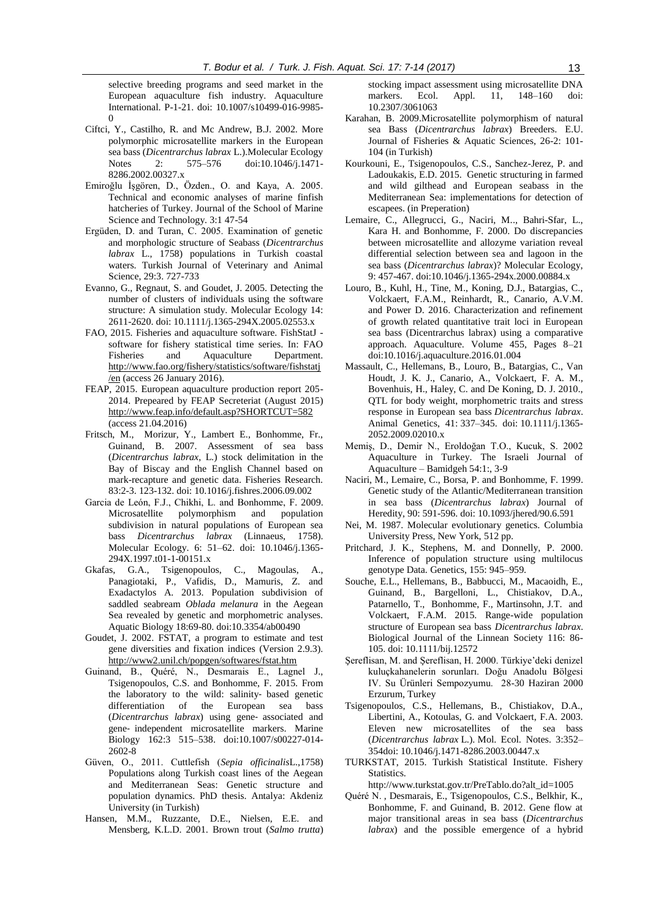selective breeding programs and seed market in the European aquaculture fish industry. Aquaculture International. P-1-21. doi: 10.1007/s10499-016-9985-  $\boldsymbol{0}$ 

- Ciftci, Y., Castilho, R. and Mc Andrew, B.J. 2002. More polymorphic microsatellite markers in the European sea bass (*Dicentrarchus labrax* L.).Molecular Ecology Notes 2: 575–576 doi:10.1046/j.1471-8286.2002.00327.x
- Emiroğlu İşgören, D., Özden., O. and Kaya, A. 2005. Technical and economic analyses of marine finfish hatcheries of Turkey. Journal of the School of Marine Science and Technology. 3:1 47-54
- Ergüden, D. and Turan, C. 2005. Examination of genetic and morphologic structure of Seabass (*Dicentrarchus labrax* L., 1758) populations in Turkish coastal waters. Turkish Journal of Veterinary and Animal Science, 29:3. 727-733
- Evanno, G., Regnaut, S. and Goudet, J. 2005. Detecting the number of clusters of individuals using the software structure: A simulation study. Molecular Ecology 14: 2611-2620. doi: 10.1111/j.1365-294X.2005.02553.x
- FAO, 2015. Fisheries and aquaculture software. FishStatJ software for fishery statistical time series. In: FAO Fisheries and Aquaculture Department. [http://www.fao.org/fishery/statistics/software/fishstatj](http://www.fao.org/fishery/statistics/software/fishstatj/en)  $\frac{\pi}{6}$  (access 26 January 2016).
- FEAP, 2015. European aquaculture production report 205- 2014. Prepeared by FEAP Secreteriat (August 2015) <http://www.feap.info/default.asp?SHORTCUT=582> (access 21.04.2016)
- Fritsch, M., Morizur, Y., Lambert E., Bonhomme, Fr., Guinand, B. 2007. Assessment of sea bass (*Dicentrarchus labrax*, L.) stock delimitation in the Bay of Biscay and the English Channel based on mark-recapture and genetic data. Fisheries Research. 83:2-3. 123-132. doi: 10.1016/j.fishres.2006.09.002
- Garcia de León, F.J., Chikhi, L. and Bonhomme, F. 2009. Microsatellite polymorphism and population subdivision in natural populations of European sea bass *Dicentrarchus labrax* (Linnaeus, 1758). Molecular Ecology. 6: 51–62. doi: 10.1046/j.1365- 294X.1997.t01-1-00151.x
- Gkafas, G.A., Tsigenopoulos, C., Magoulas, A., Panagiotaki, P., Vafidis, D., Mamuris, Z. and Exadactylos A. 2013. Population subdivision of saddled seabream *Oblada melanura* in the Aegean Sea revealed by genetic and morphometric analyses. Aquatic Biology 18:69-80. doi:10.3354/ab00490
- Goudet, J. 2002. FSTAT, a program to estimate and test gene diversities and fixation indices (Version 2.9.3). <http://www2.unil.ch/popgen/softwares/fstat.htm>
- Guinand, B., Quéré, N., Desmarais E., Lagnel J., Tsigenopoulos, C.S. and Bonhomme, F. 2015. From the laboratory to the wild: salinity- based genetic differentiation of the European sea bass (*Dicentrarchus labrax*) using gene‑ associated and gene‑ independent microsatellite markers. Marine Biology 162:3 515–538. doi:10.1007/s00227-014- 2602-8
- Güven, O., 2011. Cuttlefish (*Sepia officinalis*L.,1758) Populations along Turkish coast lines of the Aegean and Mediterranean Seas: Genetic structure and population dynamics. PhD thesis. Antalya: Akdeniz University (in Turkish)
- Hansen, M.M., Ruzzante, D.E., Nielsen, E.E. and Mensberg, K.L.D. 2001. Brown trout (*Salmo trutta*)

stocking impact assessment using microsatellite DNA markers. Ecol. Appl. 11, 148–160 doi: 10.2307/3061063

- Karahan, B. 2009.Microsatellite polymorphism of natural sea Bass (*Dicentrarchus labrax*) Breeders. E.U. Journal of Fisheries & Aquatic Sciences, 26-2: 101- 104 (in Turkish)
- Kourkouni, E., Tsigenopoulos, C.S., Sanchez-Jerez, P. and Ladoukakis, E.D. 2015. Genetic structuring in farmed and wild gilthead and European seabass in the Mediterranean Sea: implementations for detection of escapees. (in Preperation)
- Lemaire, C., Allegrucci, G., Naciri, M.., Bahri-Sfar, L., Kara H. and Bonhomme, F. 2000. Do discrepancies between microsatellite and allozyme variation reveal differential selection between sea and lagoon in the sea bass (*Dicentrarchus labrax*)? Molecular Ecology, 9: 457-467. doi:10.1046/j.1365-294x.2000.00884.x
- Louro, B., Kuhl, H., Tine, M., Koning, D.J., Batargias, C., Volckaert, F.A.M., Reinhardt, R., Canario, A.V.M. and Power D. 2016. Characterization and refinement of growth related quantitative trait loci in European sea bass (Dicentrarchus labrax) using a comparative approach. Aquaculture. Volume 455, Pages 8–21 doi:10.1016/j.aquaculture.2016.01.004
- Massault, C., Hellemans, B., Louro, B., Batargias, C., Van Houdt, J. K. J., Canario, A., Volckaert, F. A. M., Bovenhuis, H., Haley, C. and De Koning, D. J. 2010., QTL for body weight, morphometric traits and stress response in European sea bass *Dicentrarchus labrax*. Animal Genetics, 41: 337–345. doi: 10.1111/j.1365- 2052.2009.02010.x
- Memiş, D., Demir N., Eroldoğan T.O., Kucuk, S. 2002 Aquaculture in Turkey. The Israeli Journal of Aquaculture – Bamidgeh 54:1:, 3-9
- Naciri, M., Lemaire, C., Borsa, P. and Bonhomme, F. 1999. Genetic study of the Atlantic/Mediterranean transition in sea bass (*Dicentrarchus labrax*) Journal of Heredity, 90: 591-596. doi: 10.1093/jhered/90.6.591
- Nei, M. 1987. Molecular evolutionary genetics. Columbia University Press, New York, 512 pp.
- Pritchard, J. K., Stephens, M. and Donnelly, P. 2000. Inference of population structure using multilocus genotype Data. Genetics, 155: 945–959.
- Souche, E.L., Hellemans, B., Babbucci, M., Macaoidh, E., Guinand, B., Bargelloni, L., Chistiakov, D.A., Patarnello, T., Bonhomme, F., Martinsohn, J.T. and Volckaert, F.A.M. 2015. Range-wide population structure of European sea bass *Dicentrarchus labrax*. Biological Journal of the Linnean Society 116: 86- 105. doi: 10.1111/bij.12572
- Şereflisan, M. and Şereflisan, H. 2000. Türkiye'deki denizel kuluçkahanelerin sorunları. Doğu Anadolu Bölgesi IV. Su Ürünleri Sempozyumu. 28-30 Haziran 2000 Erzurum, Turkey
- Tsigenopoulos, C.S., Hellemans, B., Chistiakov, D.A., Libertini, A., Kotoulas, G. and Volckaert, F.A. 2003. Eleven new microsatellites of the sea bass (*Dicentrarchus labrax* L.). Mol. Ecol. Notes. 3:352– 354doi: 10.1046/j.1471-8286.2003.00447.x
- TURKSTAT, 2015. Turkish Statistical Institute. Fishery Statistics.
	- [http://www.turkstat.gov.tr/PreTablo.do?alt\\_id=1005](http://www.turkstat.gov.tr/PreTablo.do?alt_id=1005)
- Quéré N. , Desmarais, E., Tsigenopoulos, C.S., Belkhir, K., Bonhomme, F. and Guinand, B. 2012. Gene flow at major transitional areas in sea bass (*Dicentrarchus labrax*) and the possible emergence of a hybrid